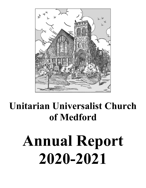

# **Unitarian Universalist Church of Medford**

# **Annual Report 2020-2021**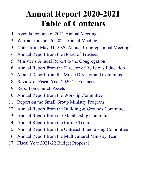## **Annual Report 2020-2021 Table of Contents**

- 1. [Agenda for June 6, 2021 Annual Meeting](#page-2-0)
- 2. [Warrant for June 6, 2021 Annual Meeting](#page-3-0)
- 3. [Notes from May 31, 2020 Annual Congregational Meeting](#page-4-0)
- 4. [Annual Report from the Board of Trustees](#page-5-0)
- 5. [Minister's Annual Report to the Congregation](#page-7-0)
- 6. [Annual Report from the Director of Religious Education](#page-10-0)
- 7. [Annual Report from the Music Director and Committee](#page-11-0)
- 8. [Review of Fiscal Year 20](#page-13-0)2[0-](#page-13-0)21 [Finances](#page-13-0)
- 9. [Report on Church Assets](#page-15-0)
- 10. [Annual Report from the Worship Committee](#page-17-0)
- 11. [Report on the Small Group Ministry Program](#page-18-0)
- 12. [Annual Report from the Building & Grounds Committee](#page-20-0)
- 13. [Annual](#page-21-0) [Report](#page-21-0) [from the Membership Committee](#page-21-0)
- 14. [Annual Report from the Caring](#page-22-1) [Team](#page-22-1)
- 15. [Annual Report from the Outreach/Fundraising Committee](#page-22-0)
- 16. [Annual Report from the Multicultural Ministry Team](#page-23-0)
- 17. [Fiscal Year 2021-22 Budget Proposal](#page-24-0)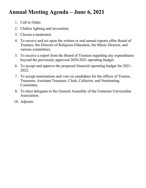## <span id="page-2-0"></span>**Annual Meeting Agenda – June 6, 2021**

- 1. Call to Order.
- 2. Chalice lighting and invocation.
- 3. Choose a moderator.
- 4. To receive and act upon the written or oral annual reports ofthe Board of Trustees, the Director of Religious Education, the Music Director, and various committees.
- 5. To receive a report from the Board of Trustees regarding any expenditures beyond the previously approved 2020-2021 operating budget.
- 6. To accept and approve the proposed financial operating budget for 2021- 2022.
- 7. To accept nominations and vote on candidates for the offices of Trustee, Treasurer, Assistant Treasurer, Clerk, Collector, and Nominating Committee.
- 8. To elect delegates to the General Assembly of the Unitarian Universalist Association.
- 10. Adjourn.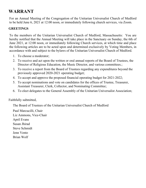## <span id="page-3-0"></span>**WARRANT**

For an Annual Meeting of the Congregation of the Unitarian Universalist Church of Medford to be held June 6, 2021 at 12:00 noon, or immediately following church services, via Zoom.

#### **GREETINGS**

To the members of the Unitarian Universalist Church of Medford, Massachusetts: You are hereby notified that the Annual Meeting will take place in the Sanctuary on Sunday, the 6th of June 2021, at 12:00 noon, or immediately following Church services, at which time and place the following articles are to be acted upon and determined exclusively by Voting Members, in accordance with and subject to the bylaws of the Unitarian Universalist Church of Medford.

- 1. To choose a moderator;
- 2. To receive and act upon the written or oral annual reports of the Board of Trustees, the Director of Religious Education, the Music Director, and various committees.;
- 3. To receive a report from the Board of Trustees regarding any expenditures beyond the previously approved 2020-2021 operating budget;
- 4. To accept and approve the proposed financial operating budget for 2021-2022;
- 5. To accept nominations and vote on candidates for the offices of Trustee, Treasurer, Assistant Treasurer, Clerk, Collector, and Nominating Committee;
- 6. To elect delegates to the General Assembly of the Unitarian Universalist Association;

#### Faithfully submitted,

The Board of Trustees of the Unitarian Universalist Church of Medford

Paul Marcucilli, Chair Liz Ammons, Vice-Chair April Evans Susan Jhirad Steve Schmidt Jenn Vento Brian Wolf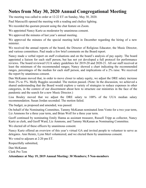## <span id="page-4-0"></span>**Notes from May 30, 2020 Annual Congregational Meeting**

The meeting was called to order at 12:22 ET on Sunday, May 30, 2020.

Paul Marcucilli opened the meeting with a reading and chalice lighting.

We recorded the quorum present using the chat feature on Zoom.

We appointed Nancy Kurtz as moderator by unanimous consent.

We approved the minutes of last year's annual meeting.

We approved the minutes of the special meeting held in December regarding the hiring of a new minister.

We received the annual reports of the board, the Director of Religious Educator, the Music Director, and various committees. Paul made a few brief comments on the Board report.

Nancy made a verbal report on staff evaluations and on the board's analysis of pay equity. The board appointed a liaison for each staff person, but has not yet developed a full protocol for performance reviews. The board reviewed UUA salary guidelines for 2019-20 and 2020-21. All our staff received at least the minimum of the recommended ranges; Nancy showed a chart indicating the recommended ranges, percentages of the median for each staff person, and implications of a 2% raise. We received the report by unanimous consent.

Dan McKanan moved that, in order to move closer to salary equity, we adjust the DRE salary increase from 2% to 5%. Molly Ruggles seconded. The motion passed. (Note: In the discussion, we achieved a shared understanding that the Board would explore a variety of strategies to reduce expenses in other categories, in the context of our discernment about how to structure our ministries in the face of the pandemic and the search for a new Music Director.)

Lisa Bouley moved that we adjust the DRE salary to 100% of the UUA median salary recommendation. Susan Jordan seconded. The motion failed.

The budget, as proposed and amended, was passed.

On behalf of the Nominating Committee, Tammy McKanan nominated Jenn Vento for a two year term, Liz Ammons for a three year term, and Brian Wolf for a three year term.

Geoff continued by nominating Emily Hanna as assistant treasurer, Russell Tripp as collector, Nancy Kurtz as clerk, and Geoff Ward, Liz Ammons, and Tammy McKanan as Nominating Committee.

We elected all of these officers by unanimous consent.

Nancy Kurtz offered an overview of this year's virtual GA and invited people to volunteer to serve as delegates. Ann Heintz, Lynn Merl volunteered, and we elected them by unanimous consent.

We voted to adjourn at 2:20 pm ET.

Respectfully submitted,

Dan McKanan

Clerk Pro Tem

**Attendance at May 19, 2019 Annual Meeting: 30 Members; 5 Non-members**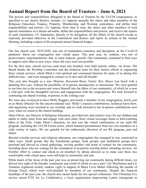## <span id="page-5-0"></span>**Annual Report from the Board of Trustees – June 6, 2021**

The powers and responsibilities delegated to the Board of Trustees by the UUCM congregation, as specified in our church Bylaws, include: (1) Appoint annually the chairs and other members of the Religious Education, Finance, Property, Membership, and Worship committees, and define their responsibilities and powers. (2) Appoint, from time to time, the chairs and other members of such special committees as it deems advisable, define the responsibilities and powers, and receive the reports of such committees. (3) Administer, directly or by delegation, all the affairs of the church except as expressly provided otherwise in the Constitution and Bylaws and report its actions at the Annual Meeting, including a report of the proposed annual financial budget.

Our last church year, 2019-2020, was one of tremendous transition and disruption, as the Covid-19 pandemic thrust our congregation into virtual space. This past year, by contrast, was one of perseverance; experimentation; and, in some respects, growth. Our community continued to find ways to support each other in new ways, when old ways were not possible.

**———————————————————————————————————**

For the first time, church services (and must else besides) were held entirely online, via Zoom. The Board thanks the Worship Committee and the technical team for their tireless efforts in organizing these virtual services, which filled a vital spiritual and communal function for many of us during this difficult time – and even managed to connect us to new and old friends!

This year also brought us a new Minister, Reverend Bruce Taylor. Rev. Bruce was faced with a daunting first year, without the possibility of in-person introductions or interactions. We were grateful to see him rise to the occasion and weave himself into the fabric of our community, of which he is now a vital part, with his thoughtful services and engagement with the congregation. We look forward to continuing our shared worship, in-person, in the coming year.

We were also overjoyed to have Molly Ruggles, previously a member of our congregation, newly join us as Music Director for this unconventional year. Molly's musical contributions, technical know-how, and organizing were essential to our worship, and we look forward to her in-person contributions next year, when we return to the church building.

Mimi Oliver, our Director of Religious Education, provided new and creative ways for our children and adults to safely learn from and engage with each other, from virtual scavenger hunts to bird-watching hikes in the Fells. Under Mimi's direction, we also saw the virtual continuation of our adult RE program, including the UUCM Forum series, which featured presentations from our own members on a wide variety of topics. We are grateful for her enthusiastic direction of our RE program, past and future.

Beyond worship services and religious education, our congregation has managed to stay connected in other ways. Small groups like the Touchstone groups, book groups, and meditation groups have persisted and thrived as virtual gatherings, serving another vital point of contact for the community, including those who are waiting for the resumption of in-person worship before attending services. An October effort to contact and check-in on members by phone allowed us to make sure those less comfortable with virtual space were still kept in community and care.

While much of the focus of the past year was on preserving our community during difficult times, we did not lose sight of the broader community and world of which we are a part. Lily MacNamee and Liz Ammons organized weekly outdoor vigils in support of Black Lives Matter following the murder of George Floyd, which were well-attended by members of our community. Despite the financial hardships of the past year, the church also raised funds for two special collections. Our Christmas Eve service raised \$725 for La Colaborativa, a local organization empowering Latinx immigrants to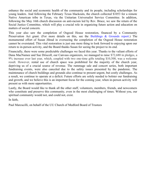enhance the social and economic health of the community and its people, including scholarships for young leaders. And following the February Texas blackouts, the church collected \$1053 for a remote Native American tribe in Texas, via the Unitarian Universalist Service Committee. In addition, following the May 16th church discussion on anti-racism led by Rev. Bruce, we saw the return of the Social Justice Committee, which will play a crucial role in organizing future action and education on matters of social concern.

This year also saw the completion of Osgood House restoration, financed by a Community Preservation Act grant. (For more details on this, see the [Buildings & Grounds report](#page-20-0).) The monumental effort of Susan Jihrad in overseeing the completion of the Osgood House restoration cannot be overstated. This vital restoration is just one more thing to look forward to enjoying upon our return to in-person activity, and the Board thanks Susan for seeing the project to its end.

Financially, there were some predictable challenges we faced this year. Thanks to the valiant efforts of Dana MacNamee and Sue Driscoll, our Canvass organizers, we managed to raise \$72,680 in pledges, a 9% increase over last year, which, coupled with two one-time gifts totaling \$10,500, was a welcome result. However, rental use of church space was prohibited for the majority of the church year, depriving us of a crucial source of revenue. The rummage sale and concert series, both important fundraising events, were also canceled due to the safety issues presented by the pandemic. The maintenance of church buildings and grounds also continue to present urgent, but costly challenges. As a result, we continue to operate at a deficit. Future efforts are solely needed to bolster our fundraising and growth, and we believe this is an important focus for the coming year, when in-person activity will present us with more opportunities.

Lastly, the Board would like to thank all the other staff, volunteers, members, friends, and newcomers who constitute and preserve this community, even in the most challenging of times. Without you, our spiritual community would not, and could not, exist.

In faith,

Paul Marcucilli, on behalf of the UU Church of Medford Board of Trustees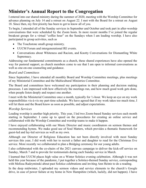## <span id="page-7-0"></span>**Minister's Annual Report to the Congregation**

I entered into our shared ministry during the summer of 2020, meeting with the Worship Committee for advance planning on July 14 and a retreat on August 22. I met with the Board for a retreat on August 18. Since then, my first priority has been to get to know all of you.

To begin, I attended all of the Sunday services in September and October and took part in after-worship conversations that were scheduled by the Zoom hosts. In more recent months I've joined the regular breakout groups for a virtual "coffee hour" on the Sundays when I am leading worship. I have also participated in group activities, such as

- The Touchstone small-group ministry.
- UUCM Forum and intergenerational RE events.
- Conversations about Whiteness and Racism, and Knotty Conversations for Dismantling White Supremacy.

Addressing our fundamental commitments as a church, these shared experiences have also opened the way for pastoral support, as church members come to see that I am open to informal conversations as well as one-on-one counseling and guidance.

#### *Board and Committees*

Since September, I have attended all monthly Board and Worship Committee meetings, plus meetings of my Ministerial Committee and the Multicultural Ministries Committee.

The Board and committees have welcomed my participation in their planning and decision making processes. I am impressed with how effectively the meetings run, and how much good work gets done, when people listen deeply and respect one another.

I meet with the Ministerial Committee once a month, typically for ½-hour. We keep an eye on my work responsibilities vis-à-vis my part-time schedule. We have agreed that if my work takes too much time, I will let them and the Board know as soon as possible, and adjust expectations.

#### *Worship Services*

Leading worship is another high priority. This year, I led two Zoom-based Sunday services each month starting in September. I came up to speed on the procedures for creating an online service and collaborated with the Worship Committee and worship teams to make it happen.

I have enjoyed collaborating with our Music Director and music coordinators on sermon themes and recommending hymns. We make good use of Soul Matters, which provides a thematic framework for guest-led and lay-led services as well as my own.

Although our Director of Religious Education has not been directly involved with most Sunday services this year, I did work with her to recruit a father and daughter to read for the Christmas Eve service. More recently we collaborated to plan a Bridging ceremony for our young adults.

I also collaborated with the co-chairs of the 2021 canvass campaign to deliver the kick-off service on Sunday, March 7 and to provide for testimonials during each Sunday service in March.

I learned that UUCM places high value on a Winter Solstice evening celebration. Although it was not held this year because of the pandemic, I put together a Solstice-themed Sunday service, corresponding with Melissa Radzyminski about past Solstice celebrations and inviting Ann Heintz to do a reading.

In the deep midwinter, I uploaded my sermon videos and service elements to the church's Google drive, in case of power failure at my home in New Hampshire (which, luckily, did not happen). I have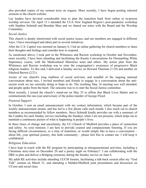also provided copies of my sermon texts on request. More recently, I have begun posting selected sermons to the church website.

Lay leaders have devoted considerable time to plan the transition back from online to in-person worship services. On April 15 I attended the UUA New England Region's post-pandemic workshop with Stephen Schmidt and Brendan Shea and we shared our notes with the Board and the Worship Committee.

#### *Social Justice*

This church is deeply intertwined with social justice issues, and our members are engaged in different ways. I have encouraged and taken part in several initiatives.

After the U.S. Capitol was stormed on January 6, I led an online gathering for church members to share their thoughts and feelings and consider how to respond.

As mentioned above, I took part in the Whiteness and Racism workshop in October and November; more recently, I have been attending and facilitating the Knotty Conversations for Dismantling White Supremacy course, with the Multicultural Ministries team and others. My action plan from the Whiteness and Racism workshop was to raise the congregation's awareness of progressive Black religious leaders. To this end, I delivered a Sunday service on Howard Thurman (1/10) and another on Ethelred Brown (2/21).

Aware of our church's long tradition of social activism, and mindful of the ongoing national conversation about race, I invited members and friends to engage in a conversation about the antiracism work we are currently doing or hope to do. The resulting May 16 meeting was well attended, and people spoke from the heart. The outcome was to re-start the Social Justice committee.

Most recently, I joined the church's stand-out on May 25 to affirm that Black Lives Matter and to commemorate the one-year anniversary of the police murder of George Floyd.

#### *Pastoral Support*

In October, I sent an email announcement with my contact information, which became part of the weekly announcement stream, and has led to a few phone calls each month. I also reach out to church members as recommended by fellow members. Steve Schmidt kindly provides me with a summary of the Candles for each Sunday service (including the Sundays when I am not present), which helps me to maintain a continuous picture of what is happening in people's lives.

In these times of change and uncertainty, the UU Church of Medford provides a place of connection and safety. As your minister, I am here to provide counsel and compassionate listening. If you are facing difficult circumstances, or a time of transition, or would simply like to have a conversation – about life, your spiritual journey, this faith community – please feel free to contact me. I will keep it confidential.

#### *Religious Education*

I have kept in touch with the RE program by participating in intergenerational activities, including a Christmas story-time on December 20 and a poetry night on February7. I am collaborating with the DRE to plan and deliver a Bridging ceremony during the Sunday service on June 6.

My adult RE activities include attending UUCM forums, facilitating a talk-back session after my "God Talk" sermon on March 21, and attending a Malden/Medford joint presentation and discussion on UUism and social class.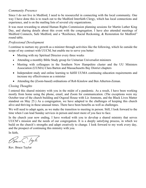#### *Community Presence*

Since I do not live in Medford, I need to be resourceful in connecting with the local community. One way I have done this is to reach out to the Medford Interfaith Clergy, which has local connections and experience, and is on the mailing lists of several city organizations.

It was most rewarding to attend Human Rights Commission planning sessions for Martin Luther King Day, and sharing details about this event with the congregation. I have also attended meetings of Medford Connects, Safe Medford, and a "Resilience, Racial Reckoning, & Restoration for Medford" round table.

#### *Professional Development*

I continue to nurture my growth as a minister through activities like the following, which lie outside the scope of my contract with UUCM, but enable me to serve you better:

- Meeting with my Spiritual Director every three weeks
- Attending a monthly Bible Study group for Unitarian Universalist ministers
- Meeting with colleagues in the Southern New Hampshire cluster and the UU Ministers Association (UUMA) Clara Barton and Massachusetts Bay District chapters
- Independent study and online learning to fulfill UUMA continuing education requirements and increase my effectiveness as a minister
- Attending the (Zoom-based) ordinations of Rob Kinslow and Ben Atherton-Zeman.

#### *Closing Thoughts*

I entered this shared ministry with you in the midst of a pandemic. As a result, I have been working mostly from home using the phone, email, and Zoom for communication. (The exceptions were my October tour of the church building and Osgood House with Liz Ammons, and the Black Lives Matter standout on May 25.) As a congregation, we have adapted to the challenges of keeping this church alive and thriving in these unusual times. There have been benefits as well as challenges.

We will need to adapt again, as we make the transition to meeting in person. Still, I look forward to the time when I can lead Sunday services in person and meet more of you face to face.

In the church year now ending, I have worked with you to develop a shared ministry that serves UUCM's mission and the needs of our congregation. It is a deeply satisfying process, in which we build on the church's strengths and adapt creatively to change. I look forward to my work every day, and the prospect of continuing this ministry with you.

In faith,

Bure C. leyh

Rev. Bruce Taylor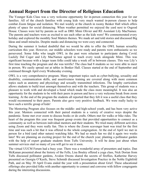## <span id="page-10-0"></span>**Annual Report from the Director of Religious Education**

The Younger Kids Class was a very welcome opportunity for in-person connection this year for our families. All of the church families with young kids very much wanted in-person classes to help combat Zoom fatigue and isolation. We met weekly at the church in roomy Benker Hall which offers plenty of space for social distancing. When weather permitted we enjoyed the yard next to Osgood House. Classes were led by parents as well as DRE Mimi Olivier and RE Assistant Lily MacNamee. The parents and teachers were as excited to see each other as the kids were! We commemorated every holiday and explored the monthly Soul Matters themes. We made art and told stories and discussed Big Ideas and small miracles. Despite masks and distancing we were cozy and connected.

During the summer it looked doubtful that we would be able to offer the OWL human sexuality curriculum this year. However, our middle schoolers were ready and parents were enthusiastic so we persevered. Some folks who taught OWL in the past were reluctant to participate during Covid. Luckily Dal Coger and Lily MacNamee agreed to teach every week alongside Mimi. This was significant because with a larger team folks could take a week off in between classes. This was Lily's first time teaching the program and she was terrific! The class had 8 students so we were able to meet in person. We easily spread out at tables in Benker Hall. Classes started at the end of September and continued through April every Wednesday evening.

OWL is a very comprehensive program. Many important topics such as cyber-bullying, sexuality and disability, communication skills, and assertiveness training are covered along with more common topics such as anatomy and physiology and sexually transmitted infections. The lengthy curriculum allows students to build trust amongst themselves and with the teachers. This group of students was a pleasure to work with and developed a bond which made the class more meaningful. It was also an opportunity for the students to be with their peers in person and have a very welcome break from zoom learning. At the end of the program the students all reported that they felt it was a useful class that they would recommend to their peers. Parents also gave very positive feedback. We were really lucky to have such a terrific group of kids!

The Mentoring Program also focuses on the middle- and high-school youth, and has been very active this year. Mentors connected with their paired students in a variety of creative ways despite the pandemic. Some met over zoom to discuss books or do crafts. Others met for walks or bike rides. The heart of the program this year was frequent group events that provided opportunities to connect as a community as well as between individual mentors and their students. We tried many different activities using Zoom and they were really fun. This is where the Zoom scavenger hunt was tried for the first time and was such a hit that it was offered to the whole congregation. At the end of April we met in person for a bird (and other nature) watching hike. We had so much fun we did it again two weeks later! We are planning an exciting project for the end of the church year; planting a pollinator garden with the help of expert graduate students from Tufts University. It will be done just about when summer services start so many of you will get to see it soon.

The virtual UUCM Forum had a busy year. There was a wonderful array of presenters and topics. Dan McKanan presented about the history of the Fells, Lisa Bouley offered a yoga class, Nick Dorian from Tufts discussed pollinator gardens, Avalon Owens shared the secrets of fireflies, Katherine Harvey presented on Georgia O'Keefe, Steve Schmidt discussed Investigation Practice in the Noble Eightfold Path, and on May 30 April Evans ended the year with a presentation about Grief. These educational offerings also provided folks with another opportunity to connect and converse with fellow congregants during the interesting discussions.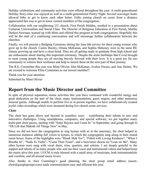Holiday celebrations and community activities were offered throughout the year. A multi-generational Holiday Story-time was enjoyed as well as a multi-generational Poetry Night. Several scavenger hunts allowed folks to get to know each other better. Folks joining church on zoom from a distance appreciated this way to get to know current members of the congregation.

Collaboration with our neighboring UU church, First Parish Malden, resulted in a presentation about Unitarian Universalism and Social Class. The Director of Religious Education at First Parish, Martha Durkee-Newman, teamed up with Mimi and offered this program to both congregations. Hopefully this will be the start of a continuing conversation and will encourage further collaboration between the churches.

Finally, we will present a Bridging Ceremony during the June 6th service for three young women who grew up in the church. Caelee Bouley, Oriana McKanan, and Sophia Mahoney were in the same RE classes growing up and have a close bond. They are all getting ready to graduate from high school and are enthusiastic about sharing this important ceremony. Despite the acute hardships that Covid brought to most young people they are all moving bravely forward with their lives. It is a great joy for our community to witness their resilience and help to launch them on the next part of their journey.

The R.E. Committee this year was Mimi Olivier, Dan McKanan, Avalon Owens, and Ann Heintz. We are excited to welcome Elina Cymerman as our newest member!!

Thank you for your attention.

Submitted by Mimi Olivier

## <span id="page-11-0"></span>**Report from the Music Director and Committee**

In spite of physical separation, music activities this year have continued with wonderful energy and great dedication on the part of the choir, many instrumentalists, guest singers, and other numerous musical guests. Although unable to perform live or in person together, we have collaboratively created joyful video recordings which were streamed during live church zoom services.

#### **Choir**

The choir has gone above and beyond in countless ways – contributing their talents to new and innovative challenges. Using smartphones, computers, and special software, we put together many multi-part choir pieces, starting with "Enter Rejoice and Come In" in September, and going through to "Oh Life that Maketh All Things New" in May.

Since we did not have the congregation to sing hymns with us in the sanctuary, the choir helped in numerous instances adding full voices to hymns, to which the congregation sang along in their muted zoom boxes. Some of the highlights were "Hineh Mah Tov", "Filled with Loving Kindness", "When I Breathe In", "Nada Te Turbe", "Come Thou Fount", and a bass/tenor chorus on "Lean on Me". Many other hymns were sung with vocal duets, trios, quartets, and soloists. I am deeply grateful to the support and talents of so many people who sent me their vocal and instrumental videos and helped keep the music alive this year. UUCM is truly blessed with a small army of musicians, both instrumentalists and vocalists, and all-around music lovers.

Also, thanks to Alex Cummings's good planning, the choir group email address (uucm $choir@googlegroups.com)$  made communication easy and efficient this year.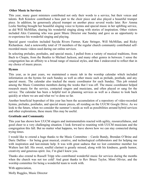#### **Other Music in Services**

This year, many guest ministers contributed not only their words to a service, but their voices and talents. Rob Kinslow contributed a bass part to the choir piece and also played a beautiful trumpet piece. In addition, he generously played trumpet on another piece several weeks later. Rev Amma Leslie Sterling brought her beautiful singing voice to hymns and special music in her uplifting service, as did Will McMillan, sharing his wonderful singing along with stories of inspiration. Other visitors included Alex Cumming who was guest Music Director one Sunday and gave us an opportunity to re-experience his wonderful singing and playing.

Special guest vocalists included Sayida Rivers Farmer, Kate Stringer, Will McMillan, and Ricky Richardson. And a noteworthy total of 19 members of the regular church community contributed selfrecorded music videos used during our online services.

In selecting preludes, postludes, and special music, I pulled from a variety of musical traditions, from Bach to Chopin, from the Beatles to Michael Jackson, and many other genres in between. I sense the congregation has an affinity to a broad range of musical styles, and thus I endeavored to reflect that in my choice of music pieces.

#### **Hymns**

This year, as in past years, we maintained a music tab in the worship calendar which included information on the hymns for each Sunday as well as other music such as prelude, postlude, and any special music. The calendar also tracked the music coordinator for each Sunday. This job rotated among the Music Committee members during the weeks that I was off. The music coordinator helped research music for the service, contacted singers and musicians, and often played or sang for the service. The calendar has been a helpful tool in planning services as well as a chance to look back quickly at where we are and what we've done so far.

Another beneficial byproduct of this year has been the accumulation of a repository of video-recorded hymns, preludes, postludes, and special music pieces, all residing on the UUCM Google Drive. As we look to the future, when we consider the summer's needs as well as possibilities around hybrid services and other explorations, these music files may be useful.

#### **Gratitude and Community**

This year has shown how UUCM singers and instrumentalists reacted with agility, resourcefulness, and good cheer to a very challenging situation. I look forward to reuniting with UUCM musicians and the congregation this fall. But no matter what happens, we have shown how we can stay connected during trying times.

I would like to extend a huge thanks to the Music Committee – Carole Bundy, Brendan O'Brine and Daric Dalfino – for being great musical, creative, and technological collaborators and for helping me with inspiration and last-minute help. It was with great sadness that we lost committee member Joe Walters last fall. His sweet, soulful clarinet is greatly missed, along with his kindness, gentle humor, creativity and generous spirit. Joe, I'm glad I knew you.

Thanks also extend to Russell Tripp who contributed wonderful music for services during the months when the church was not too cold! And great thanks to Rev Bruce Taylor, Mimi Olivier, and the worship committee for being a wonderful team to work with.

With appreciation,

Molly Ruggles, Music Director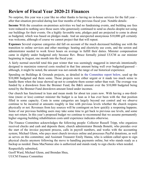## <span id="page-13-0"></span>**Review of Fiscal Year 2020-21 Finances**

No surprise, this year was a year like no other thanks to having no in-house services for the full year – after that situation prevailed during last four months of the previous fiscal year. Notable details:

**Income** With the cessation on-premises activities we had no fundraising events, and building use fees were reduced to nothing save those users who generously continued to send us checks despite not using our buildings for their events. On a highly favorable note, pledges paid are projected to come in about as budgeted, which was based on pledges made. And an unexpected anonymous \$10,000 gift certainly was welcome, although of course we cannot project that that will repeat.

**Expenses** Several expense categories did fall on account of the much decreased building use with the transition to online services and other meetings: heating and electricity use costs, and the sexton and administrator needed to work fewer hours on average to fulfill their duties. Minister compensation came in slightly under budgeted only because Rev. Bruce formally joined UUCM as our minister beginning in August, one month into the fiscal year.

A fairly normal snowfall total this past winter that was seemingly staggered in intervals intentionally designed to maximize removal costs resulted in that line amount being well over budgeted/guessed – although, it might be noted, the amount was not outside the range of our historical experience.

Spending on Buildings & Grounds projects, as detailed in [the Committee report below](#page-20-0), used up the \$10,000 budgeted and them some. Those projects were either urgent or it made too much sense to handle them when the issue showed up not to complete them sooner rather than wait. The overage was funded by a drawdown from the Brenner Fund, the B&G amount over the \$10,000 budgeted being noted by the Brenner Fund drawdown amount listed under incomes.

Our church has functioned in lean and mean mode for about ten years now. With having a one-thirdtime (more or less) contract minister the budget is as lean as it has ever been with the that position filled in some capacity. Costs in some categories are largely beyond our control and we observe continue to be incurred at amounts roughly in line with previous levels whether the church reopens physically or not. Revenues from key sources will be contingent on how quickly a reopening happens. Some of our previous building users may take some time to get back to previous use levels, and some may not return. In this year's proposed budget we continue to recommend that we assume permanently higher ongoing building rehabilitation costs until experience indicates otherwise.

The Finance Committee acknowledges the following people: Collector Russell Tripp, who organizes received checks and cash and deposits them; church administrator Brenda Bonetti, who presides over the start of the invoice payment process, calls in payroll numbers, and works with the accounting system; Michael Glenn, who pays most church invoices online and processes PayPal donations, as well as serves on this committee; and Assistant Treasurer Emily Hanna, who is seldom called upon to sign physical checks anymore following the move to handling payments online, but who stands ready as a backup as needed. Dana MacNamee also is authorized and stands ready to sign checks when needed.

Respectfully submitted, Geoff Ward, Michael Glenn, and Brendan Shea, UUCM Finance Committee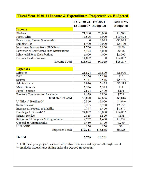|                                           | FY 2020-21 | <b>FY 2021</b>  | <b>Actual vs.</b> |
|-------------------------------------------|------------|-----------------|-------------------|
|                                           | Estimated* | <b>Budgeted</b> | <b>Budgeted</b>   |
| <b>Income</b>                             |            |                 |                   |
| Pledges                                   | 71,500     | 70,000          | \$1,500           |
| Plate / Gifts                             | 13,506     | 3,000           | \$10,506          |
| Fundraising, Flower Sponsorship           | 0          | 3,025           | $-$3,025$         |
| <b>Building Use</b>                       | 1,900      | 10,000          | $-$ \$8,100       |
| Investment Income from NPO Fund           | 1,700      | 2,300           | $-$ \$600         |
| Lawrence & Restricted Funds Distributions | 4,194      | 5,000           | $-$ \$806         |
| <b>Ministerial Fund Distributions</b>     | 6,000      | 4,000           | \$2,000           |
| <b>Brenner Fund Drawdown</b>              | 14,802     | 0               | \$14,802          |
| <b>Income Total</b>                       | 113,602    | 97,325          | \$16,277          |
| Minister                                  | 21,824     | 23,800          | $-$1,976$         |
| <b>Expenses</b>                           |            |                 |                   |
| <b>DRE</b>                                | 15,156     | 15,140          | \$16              |
| Sexton                                    | 5,141      | 10,546          | $-$ \$5,405       |
| Administrator                             | 2,910      | 5,425           | $-$ \$2,515       |
| Music Director                            | 7,536      | 7,525           | \$11              |
| Payroll Service                           | 2,694      | 2,400           | \$294             |
| Workers Compensation Insurance            | 3,559      | 2,800           | \$759             |
| total staff-related                       | 58,820     | 67,636          | $-$ \$8,816       |
| Utilities & Heating Oil                   | 10,360     | 15,000          | $-$4,640$         |
| <b>Snow Removal</b>                       | 8,255      | 5,700           | \$2,555           |
| Insurance: Property & Liability           | 7,777      | 6,400           | \$1,377           |
| Buildings & Grounds**                     | 24,802     | 10,000          | \$14,802          |
| <b>Sunday Service</b>                     | 2,865      | 3,500           | $-$ \$635         |
| Religious Ed Supplies & Programming       | 2,732      | 1,400           | \$1,332           |
| General & Administrative                  | 3,450      | 3,700           | $-$ \$250         |
| UUA/MBD                                   | 250        | 250             | \$0               |
| <b>Expenses Total</b>                     | 119,311    | 113,586         | \$5,725           |

#### **Deficit**

 $-5,709$  $-16,261$ 

\* Full fiscal year projections based off realized incomes and expenses through June 4.<br>\*\* Excludes expenditures falling under the Osgood House grant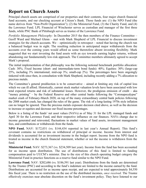## <span id="page-15-0"></span>**Report on Church Assets**

Principal church assets are comprised of our properties and their contents, four major church financial fund accounts, and our checking account at Citizen's Bank. Those funds are: (1) the NPO Fund (the name derives from "Non-Profit Organization"); (2) the Ministerial Fund, (3) the Charity Fund, and (4) the Lawrence Fund. LPL Financial of Winchester serves as custodian and manager of the first three funds, while PNC Bank of Pittsburgh serves as trustee of the Lawrence Fund.

*Portfolio Management Philosophy:* In December 2015 the then members of the Finance Committee – Geoff Ward and Michael Glenn – met with Mark Shepherd of LPL Financial to discuss investment strategies for the church accounts. We – optimistically in retrospect – noted that having the church run a balanced budget was in sight. The resulting reduction in anticipated major withdrawals from the accounts over the coming years would afford us some theretofore absent investing flexibility. Mark suggested that we start investing the fund assets with an eye towards earning higher returns, without abandoning our fundamentally low-risk approach. The Committee members ultimately agreed to accept Mark's proposal.

The initial implementation of that philosophy was the following notional benchmark portfolio allocation: Cash: 30%; Fixed Income (short- and intermediate-term bond funds): 40%; Equities: 30% (large-cap 25%, including 3% international; mid-cap 3%; small-cap 2%). The percentages have been ongoingly tinkered with since then, in consultation with Mark Shepherd, including recently adding a 7% allocation to precious metals.

The Committee's general predilection is to be conservative – aimed at limiting any risk of capital loss which we can ill afford. Historically, current stock market valuation levels have been associated with low total expected returns and risk of substantial losses. However, the prodigious emission of credit – aka "money printing" – by the Federal Reserve and other central banks following the "Coronapocalypse" market crash of February-March 2020, on top of the many extraordinary central bank policies following the 2008 market crash, has changed the rules of the game. The risk of a long-lasting 1970s style inflation can no longer be ignored. Thus the precious metals exposure decision cited above, as well as the decision to increase or equities and decrease our fixed income percentages.

Below is a listing of the funds' net asset values (NAVs) as of May 31 for the LPL managed funds and April 30 for the Lawrence Fund, and their respective influence on our finances. NAVs change due to income generated and reinvested, fluctuations in market values of fund assets, investment management fees, and contributions or withdrawals from the funds.

**NPO Fund.** NAV: \$172,031 (vs. \$144,434 reported in last year's Annual Report). This fund's covenant contains no restrictions on withdrawal of principal or income. Income from interest and dividends is accounted for as investment income in the budget report. Income from the NPO fund is treated as income in the church financial statement, whether or not the income is withdrawn from the fund.

**Ministerial Fund.** NAV: \$273,367 (vs. \$234,509 last year). Income from the fund has been accounted for as income upon distribution. The use of distributions of this fund is limited to funding compensation paid to UUCM's minister. Due to the size of this church operating budget category the Ministerial Fund in practice functions as a reserve fund similar to the NPO Fund.

**Lawrence Fund.** NAV: \$202,686 (vs. \$186,591 last year). Distributions from the funds are determined by the Trustee (PNC) and according to the fund's indenture are limited to the income earned by the fund. Distributions are accounted for as income upon receipt, and are expected to total approximately \$4,550 this fiscal year. There is no restriction on the use of the distributed incomes, *once received*. The Trustee effectively exercises near absolute discretion on the fund's investment policy. They have listened to our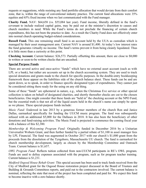requests or suggestions, while resisting any fund portfolio allocation that would deviate from their comfort zone, that is, within the range of conventional industry practice. The current fund allocations were 35% equities and 65% fixed income when we last communicated with the Fund manager.

**Charity Fund.** NAV: \$64,658 (vs. \$55,084 last year). Fund income, liberally defined in the fund's covenant to include realized capital gains, may be paid out at the minister's discretion to causes and church members in need. While the Fund's terms do not preclude the financing of certain church expenditures, this has not been the practice to date. As a result the Charity Fund does not effectively enter into normal church operating budget-related considerations.

**Russell Fund.** This one remaining small fund is an account held by the UUA as custodian which is managed by their asset management arm. Current NAV is around \$1,400. At today's low interest rates the fund generates virtually no income. The fund's terms prevent it from being cleanly liquidated. Thus it is little more than a curiosity at this point.

**Checking Account.** Current balance: \$26,573. Partially offsetting this amount, there are close to \$8,000 in written or soon-to-be written checks that are uncashed.

#### **Special Purpose Funds**

There are several active and once-active "funds" which have no external asset account (such as with LPL or a bank), but rather are accounts set up in the church accounting system. They are used to track special donations and grants made to the church for specific purposes. In the double-entry bookkeeping framework these appear on the liabilities side of the church balance sheet. These funds can be and are spent down, so to speak, in order to finance specific designated types of expenditures. They cannot just be considered sitting there ready for the using on any old thing.

Some of these "funds" are ephemeral in nature, e.g., when the Christmas Eve service or other special collection is taken on behalf of designated charities, and shortly thereafter checks are cut to the chosen beneficiaries. One might consider that these funds are "held in" the checking account or the NPO Fund, but the essential truth is that not all of the liquid assets held in the church's name can simply be spent as we please. These special-purpose funds include:

*Music Fund:* Endowed in late 2013 by a generous former members of the church Ron and Janice Dallas, earmarked specifically for funding the UUCM music program. The fund was subsequently infused with an additional \$5,000 for the Dallases in 2018. It has also been the beneficiary of other donations and fund-raising activities. The Music Fund is projected to commence the coming fiscal year with a balance of this \$2,380.

*Membership & Welcoming Program Fund:* Originally funded in December 2016 by a Unitarian Universalist Woburn Grant, and then further funded by a partial rebate of \$1,100 in asset manager fees by LPL Financial. The fund was augmented in October 2017 with our church's \$1,000 grant from the proceeds from the dissolution of the Tyngsboro, Massachusetts UU church. The fund is earmarked for church membership development, largely as chosen by the Membership Committee and Outreach Team. Current balance is \$1,657.

*OWL Program Fund:* Reflects tuition collected from non-UUCM participants in RE's OWL program. Funds are used to defray expenses associated with the program, such as for program teacher training. Current balance is \$1,231.

*Medford Osgood House Rehab Grant:* This special account has been used to track funds received from the City of Medford grant for the Osgood House restoration project discussed in the Board of Trustees and Building & Grounds Committees reports, and paid out to the contractors involved. The current balance is nominal, reflecting the state that most of the project has been completed and paid for. We expect this fund to become inactive with a zero balance shortly.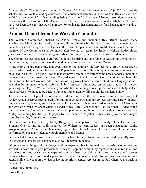*Brenner Fund:* This fund was set up in October 2019 with an endowment of \$4,000 "to provide scholarships for youth attending educational and enrichment activities in honor of June Brenner's work as a DRE at our church" – that wording being from the 2019 Annual Meeting resolution as passed, concerning the disposition of the Brenner estate bequest (which ultimately totaled \$82,603). No funds have yet been spent for that stated purpose. Following further donations the fund balance now stands at \$4,355.

## <span id="page-17-0"></span>**Annual Report from the Worship Committee**

The Worship Committee, chaired by Andey Amata and including Rev. Bruce Taylor, Mary MacNamee, Mimi Olivier, Molly Ruggles, Susan Jhirad (for the Board) and new member Carol Schachet has had a very successful year in the midst of a pandemic. Tammy McKanan was for a time a member of the Committee and continued after leaving to recruit lay leaders. Melissa Radzyminksi joined us from time to time and has given advice and support, particularly on issues of diversity.

The Committee has managed to craft professional, inspiring and satisfying (at least to most who joined) online services, complete with wonderful, diverse music and coffee hour on Zoom.

In the course of the pandemic, and even through the summer, the services have grown successively more professional, attracting between 40-55 people on any given Sunday, quite close to the number we have had in church. The good news is that we have been able to attract some new attendees, including members who have moved far away. The sad news is that for some of our longtime members, the online format has not worked, either because of long work hours on Zoom, children or language issues. We plan by summer to have informal hybrid services, alternating online and outdoor, in person gatherings, all lay led. We welcome anyone who has something to read, preach or share to help us lead these services. We hope to be back in our beautiful church by fall, should the pandemic allow.

The sheer number of people who have worked hard to do all this work is impossible to mention, but Andey Amata deserves special credit for putting together outstanding services, working hard with guest ministers and lay leaders, and serving on tech. Our other tech service leaders include Paul Marcucilli and Avalon Owens, Michael Glenn, Brendan Shea, Carol Schachet and Dan McKanan. Added to the services was 10-15 minutes of music for contemplation before the service, with slide shows created by Andey containing beautiful photography by our members, together with inspiring words and images from the monthly Soul Matters themes.

Our entire music team, led by Molly Ruggles, with help from Carole Bundy, Daric Dalfino, and Brendan O'Brine and our sadly departed Joe Walters as team leaders, has been outstanding. While group singing on Zoom is less than satisfying, we have been fortunate to hear beautiful choral music performed by our many talented church members and friends.

Services led by our minister Rev. Bruce Taylor have been profound, interesting and generally loved. Our guest and lay services have been also well received in general.

Of course some things did not always work as expected, but in the main our Worship Committee has worked its heart out to give professional services, keep our community together and inspired in a time of dislocation and crisis. An unexpected gift has been the ability of some members and former members from afar to join. A disappointment was a few members who for various reasons could not attend online. We support the idea of having hybrid streamed services in the Fall when we are back in the church.

Respectfully submitted, Susan Jhirad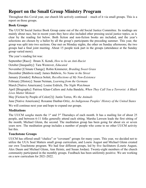## <span id="page-18-0"></span>**Report on the Small Group Ministry Program**

Throughout this Covid year, our church life actively continued – much of it via small groups. This is a report on those groups.

#### **Book Groups**

The UUCM Social Justice Book Group came out of the old Social Justice Committee. Its readings are mainly about race, but in recent years they have also included other pressing social justice topics, as is clear by the reading list below. Both fiction and non-fiction books are included, and the year's selections are chosen by a ballot by all the group's participants the preceding summer. This year, the group was split into two sections. One met on Monday nights, the other on Sunday afternoons; the two groups had a final joint meeting. About 15 people took part in the groups (attendance at the Sunday group varied more).

The year's reading list was:

September [Race]: Ibram X. Kendi, *How to be an Anti-Racist* October [Inequality]: Tara Westover, *Educated* November [Climate Change]: Robin Kimmerer, *Braiding Sweet Grass* December [Baldwin read]: James Baldwin, *No Name in the Street* January [Gender]: Rebecca Solnit, *Recollections of My Non-Existence* February [History]: Susan Neiman, *Learning from the Germans* March [Native Americans]: Louise Erdrich, *The Night Watchman* April [Biography]: Patrisse Khan-Cullors and Asha Bandele, *When They Call You a Terrorist: A Black Lives Matter Memoir* May [Fiction by People of Color(2)]: Justin Torres, *We the Animals* 

June [Native Americans]: Roxanne Dunbar-Ortiz, *An Indigenous Peoples' History of the United States*

We will continue next year and hope to expand our groups.

#### **Meditations**

The UUCM *sangha* meets the 1<sup>st</sup> and 3<sup>rd</sup> Thursdays of each month. It has a mailing list of about 25 people, and between 6-11 folks generally attend each sitting. Marsha Lawson leads the first sitting of the month; Michael Glenn, the second. The meditation group has been going for about six or seven years now. The meditation group includes a number of people who come to no other UUCM activity but this.

#### **Touchstone Groups**

UUCM has offered small "chalice" or "covenant" groups for many years. This year, we decided not to utilize the UUA Soul Matters small group curriculum, and Lourie August and Michael Glenn created our own Touchstone program. We had four different groups, led by five facilitators (Lourie August, Alex Daum and Michael Glenn, Ann Heintz, and Susan Jordan). Twenty-eight members of the church community participated in the monthly groups. Feedback has been uniformly positive. We are working on a new curriculum for 2021-2022.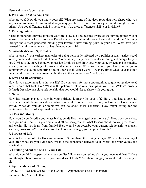Here is this year's curriculum:

#### **1. Who Am I? / Who Are You?**

Who are you? How do you know yourself? What are some of the deep roots that help shape who you are, where you came from? In what ways may you be different from how you initially might seem to others? Are you differently-abled in some way? Are these differences visible or invisible?

#### **2. Turning Points**

Share an important turning point in your life. How did you become aware of the turning point? Was it an overt decision or less conscious? Did others help you along the way? How did it work out? Is living through the current pandemic moving you toward a new turning point in your life? What have you learned from this experience that has changed your life?

#### **3. Social Justice and Spirituality**

What is one of your earliest memories of being personally affected by a political/social justice issue? Were you moved to some kind of action? What issue, if any, has particular meaning and energy for you now? What is the story behind your passion for this issue? How does your value system and spirituality shape your understanding of justice and equity issues? What role would you like your religious community to play in supporting you in your social justice work? Are there times when your position on a social issue is not congruent with others in this congregation? the UUA?

#### **4. Love and Relationships**

How do you experience love in your life? Do you yearn for more opportunities to give or receive love? What would that look like? What is the pattern of close relationships in your life? ("close" broadly defined) Describe one close relationship that you would like to share with your group.

#### **5. Nature**

How has nature played a role in your spiritual journey? In your life? Have you had a spiritual experience while being in nature? What was it like? What concerns do you have about our natural world? What do you do or think we can do about these concerns? How might caring for the environment be part of a spiritual practice?

#### **6. Class and Money**

How would you describe your class background? Has it changed over the years? How does your class background interact with your racial and ethnic background? What lessons about money, possessions, and wealth did you learn from family? How would you describe your current relationship to money, scarcity, possessions? How does this affect your self-image, your approach to life?

#### **7. Purpose of Life**

What is the nature of life? How are humans different than other living beings? What is the meaning of your life? What are you living for? What is the connection between your 'work' and your values and spirituality?

#### **8. Thinking About the End of Your Life**

What do you think happens when a person dies? How are you feeling about your eventual death? Have you thought about how or when you would want to die? Are there things you want to do before you die?

#### **9. Appreciation and Closing**

Review of "Likes and Wishes" of the Group … Appreciation circle of members.

Submitted by, Michael Glenn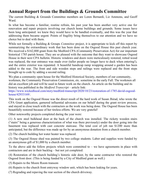## <span id="page-20-0"></span>**Annual Report from the Buildings & Grounds Committee**

The current Building & Grounds Committee members are Loren Bernardi, Liz Ammons, and Geoff Ward.

In what has become a familiar, routine refrain, his past year has been another very active one for renovation and repair projects involving our church home buildings and grounds. Some issues have been long anticipated: we knew they would have to be handled eventually, and this was the year that addressing them became urgent. Points of fragility bring themselves to our attention and we have no choice but to deal with them.

While not formally a Building & Groups *Committee* project, it is appropriate to kick off this report by summarizing the extraordinary work that has been done on the Osgood House this past church year. We received a \$162,800 grant from the Medford CPA (Community Preservation Act) for our important historical 1785 parish house. They are so pleased with the outcome that they want to showcase Osgood House in their next CPA bulletin. Historic windows and doors were meticulously restored, rotted wood was replaced, the rear entrance was made over (taller people no longer have to duck when entering!), and the entire exterior was repainted. A beautiful handicap ramp wrapping around a garden has been added to the rear. The front and side wooden steps and railings were replaced and the front steps brought up to code by adding a second railing.

We plan a community open house for the Medford Historical Society, members of our community, workmen, the Community Preservation Commission, etc. sometime in the early Fall. The workmen all did an excellent job and will be used in future work on the church. An article on the building and its history was published in the *Medford Transcript –* article link:

[https://www.wickedlocal.com/story/medford-transcript/2020/10/23/restoration-of-1785-david-osgood](https://www.wickedlocal.com/story/medford-transcript/2020/10/23/restoration-of-1785-david-osgood-house/42933169/)[house/42933169/.](https://www.wickedlocal.com/story/medford-transcript/2020/10/23/restoration-of-1785-david-osgood-house/42933169/)

This work on the Osgood House was the direct result of the hard work of Susan Jhirad, who wrote the CPA Grant application, garnered influential advocates on our behalf during the grant review process, and stayed in close touch with the contractors as the work was being done. The Osgood House has been beautifully restored because of her tireless efforts. We are very grateful!

Other noteworthy projects completed during the year were:

(1) A new steel bulkhead door at the back of the church was installed. The rickety wooden stairs ("stairs" being a generous characterization of what was there previously) under the door going into the basement was replaced with cast concrete staircase. The total cost of job ran \$1200 more than anticipated, but the difference was made up for by an anonymous donation from a church member.

(2) The church building hot water heater was replaced.

(3) The Osgood House shed was painted by two college students. Labor and supplies were funded by an anonymous gift of \$1,000 by a church member.

To the above add the follow projects which were committed to  $-$  we have agreements in place with contractors and are in their backlog – but not yet completed:

(4) Restoration of the church building's historic side door, by the same contractor who restored the Osgood front door. (This is being funded by a City of Medford grant as well.)

(5) Repairs to the Moore Room transom

(6) Repairs to the church front entryway window unit, which has been leaking for years.

(7) Regrading and repaving the rear section of the church driveway.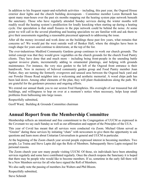In addition to his frequent repair-and-refurbish activities – including, this past year, the Osgood House exterior door lights and the church building downspouts – Committee member Loren Bernardi has spent many man-hours over the past six months mapping out the heating system pipe network beneath the sanctuary. Those who have regularly attended Sunday services during the winter months will readily recall the heating system's predilection for loudly knocking when starting up during a heating cycle. Our speculation is that small fissures in the pipe network could be behind the noise. At some point we will call in the several plumbing and heating specialists we are familiar with and ask them to give their assessments regarding a reasonable piecemeal approach to addressing the issue.

After all the money invested and work done on the buildings these past few years, what remains that concerns us? We would put the west outside wall of Benker Hall, where the shingles have been in rough shape for years and continue to deteriorate, at the top of the list.

The ever-industrious Medford Community Gardens group continues to work our church grounds. The initial concept was that they would grow vegetables on the church grounds for the church Food Pantry clients. They have done that and much more – including being front-people in the unending battle against invasive plants, incrementally adding to ornamental plantings, and helping with grounds maintenance. For instance, the very nice garden to the left of the Osgood front entrance is their handiwork. Now in memory of beloved community garden group and Food Pantry member Joan Parker, they are turning the formerly overgrown and unused area between the Osgood back yard and our Powder House Road neighbor into a welcoming and aesthetic memorial. A wood chips path has been laid down. Among other elements of the plan, they will plant rhododendrons along the path. We are grateful for the gardeners presence and ongoing efforts.

We extend our annual thank you to our sexton Fred Humphries. His oversight of our treasured but old buildings, and willingness to hop on over at a moment's notice when necessary, helps keep small problems from ballooning into large issues.

Respectfully submitted,

Geoff Ward, Building & Grounds Committee chairman

### <span id="page-21-0"></span>**Annual Report from the Membership Committee**

Membership reflects an intentional and free commitment to the Congregation of UUCM as expressed in the Covenant we say each Sunday as well as our affirmation and support of the Principles of the UUA.

This year of Covid has meant that all services were conducted via Zoom. Michael Glenn served as "Greeter" during these services by initiating "chats" with newcomers to give them the opportunity to ask questions and learn more about Unitarian Universalism in general and UUCM in particular.

At the beginning of the Zoom church year several people expressed interest in becoming members. Two people, Lu Traina and Steve Lapin did sign the Role of Members. Subsequently Steve Lapin resigned for personal reasons.

The Zoom church year saw many people visiting UUCM. Of those, six individuals have been attending services regularly and some have contributed regularly. Once the church reopens the Sanctuary it is hoped that there may be people who would like to become members. If so, sometime in the early fall there will be a New Members service for all who have signed the Roll of Members.

We also sadly note the passing of members Joe Walters and Phil Bloom.

Respectfully submitted,

Steve Schmidt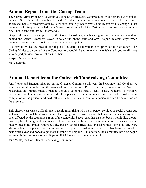## <span id="page-22-1"></span>**Annual Report from the Caring Team**

The Caring Ministry of UUCM continues to be an unstructured Congregation-wide response to members in need. Steve Schmidt, who had been the "contact person" to whom many requests for care were addressed, had significantly fewer calls for care than in previous years. One reason for this change is that members who frequently called upon Steve to send out a Call for Caring began to use the Community email list to send out that call themselves.

Despite the restrictions imposed by the Covid lock-down, much caring activity was  $-$  again  $-$  done behind the scenes. Members stayed in touch via phone calls and often helped in other ways when members needed rides to doctor visits or help with shopping.

It is hard to realize the breadth and depth of the care that members have provided to each other. The Caring Ministry, on behalf of the Congregation, would like to extend a heart-felt thank you to all those who helped provide care for fellow members.

Respectfully submitted,

Steve Schmidt

## <span id="page-22-0"></span>**Annual Report from the Outreach/Fundraising Committee**

Jenn Vento and Brendan Shea sat on the Outreach Committee this year. In September and October, we were successful in publicizing the arrival of our new minister, Rev. Bruce Carey, in local media. We also researched and brainstormed a plan to design a color postcard to send to new residents of Medford describing our church. We created a draft of the postcard and cost estimate. It was decided to postpone the completion of the project until next fall when church services resume in person and can be advertised on the postcard.

This church year was a difficult one to tackle fundraising with no in-person services or social events due to Covid-19. Virtual fundraisers were challenging and we were aware that several members may have been affected by the economic strains of the pandemic. Space rental has also not been a possibility, though that may be returning next year as we seek to reconnect with our space renting clients. Events such as the hugely successful annual rummage sale, Easter Pancake Breakfast, and Christmas Poinsettia sale were also unable to take place. The Committee began to plan a virtual silent auction that has been postponed to next church year and hopes to get more members to help run it. In addition, the Committee has also begun to research the promotion of weddings at UUCM as a major fundraising tool.,

Jenn Vento, for the Outreach/Fundraising Committee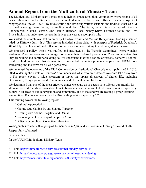## <span id="page-23-0"></span>**Annual Report from the Multicultural Ministry Team**

The Multicultural Ministry team's mission is to help co-create a religious community where people of all races, ethnicities, and cultures see their cultural identities reflected and affirmed in every aspect of congregational life at UUCM, by investigating and revisiting various customs and traditions that UUCM has and viewing them through a multicultural lens. The team, which is made up of: Melissa Radzyminski, Marsha Lawson, Ann Heintz, Brendan Shea, Nancy Kurtz, Carolyn Cronin, and Rev. Bruce Taylor, has undertaken several initiatives this year to accomplish this.

We started the church year last summer by Carolyn Cronin and Melissa Radzyminski leading a service titled "A Different July 4th".\* This service included a short video with excerpts of Frederick Douglass's 4th of July speech, and offered reflections on actions people are taking to address systemic racism.

We proposed a policy, which was ratified and instituted by the Worship Committee, where worship leaders on Zoom services are encouraged to include their preferred pronouns on Zoom to the extent that they are willing and comfortable doing so. We understand that for a variety of reasons, some will not feel comfortable doing so and that decision is also respected. Including pronouns helps make UUCM more welcoming and inclusive for all who participate.

We reviewed the outcomes of the UUA Commission on Institutional Change's report published in 2020, titled Widening the Circle of Concern\*\*, to understand what recommendations we could take away from it. The report covers a wide spectrum of topics that spans all aspects of church life, including Governance, Congregations and Communities, and Hospitality and Inclusion.

We determined that one of the most effective things we could do as a team is to offer an opportunity for all members and friends to learn about how to become an antiracist and help dismantle White Supremacy culture in all areas of our congregation and community, and to that end we are leading a group learning session titled Knotty Conversations for Dismantling White Supremacy.\*\*\*

This training covers the following topics:

- \* Cultural Appropriation
- \* Calling Out, Calling In, and Staying Together
- \* Dealing with Shame, Fragility, and Denial
- \* Following the Leadership of People of Color
- \* Allies, Accomplices, Collective Liberation

We began this course with a group of 14 members in April and will continue it through the end of 2021. Respectfully submitted,

Brendan Shea

for the UUCM Multicultural Ministry Team

- \* link:<https://uumedford.org/services/summer-sunday-service-4/>
- \*\* link:<https://www.uua.org/uuagovernance/committees/cic/widening>
- \*\*\* link:<https://www.uuinstitute.org/courses/320-knottyconversations/>